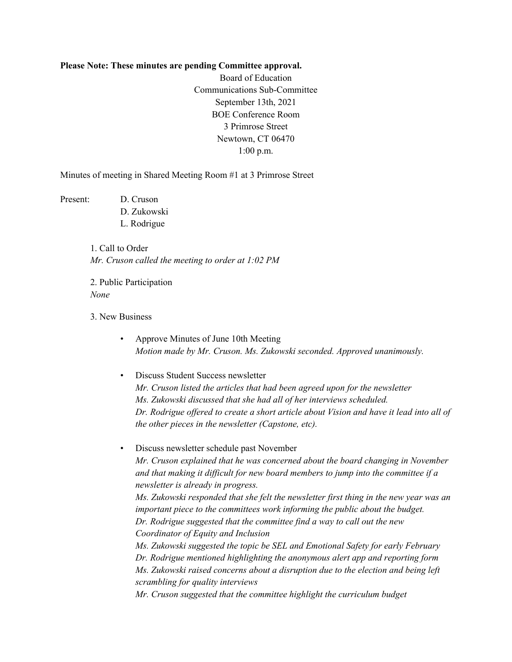## **Please Note: These minutes are pending Committee approval.**

Board of Education Communications Sub-Committee September 13th, 2021 BOE Conference Room 3 Primrose Street Newtown, CT 06470 1:00 p.m.

Minutes of meeting in Shared Meeting Room #1 at 3 Primrose Street

Present: D. Cruson D. Zukowski L. Rodrigue

> 1. Call to Order *Mr. Cruson called the meeting to order at 1:02 PM*

2. Public Participation *None*

3. New Business

• Approve Minutes of June 10th Meeting *Motion made by Mr. Cruson. Ms. Zukowski seconded. Approved unanimously.*

• Discuss Student Success newsletter *Mr. Cruson listed the articles that had been agreed upon for the newsletter Ms. Zukowski discussed that she had all of her interviews scheduled. Dr. Rodrigue offered to create a short article about Vision and have it lead into all of the other pieces in the newsletter (Capstone, etc).*

• Discuss newsletter schedule past November

*Mr. Cruson explained that he was concerned about the board changing in November and that making it difficult for new board members to jump into the committee if a newsletter is already in progress.*

*Ms. Zukowski responded that she felt the newsletter first thing in the new year was an important piece to the committees work informing the public about the budget. Dr. Rodrigue suggested that the committee find a way to call out the new Coordinator of Equity and Inclusion*

*Ms. Zukowski suggested the topic be SEL and Emotional Safety for early February Dr. Rodrigue mentioned highlighting the anonymous alert app and reporting form Ms. Zukowski raised concerns about a disruption due to the election and being left scrambling for quality interviews*

*Mr. Cruson suggested that the committee highlight the curriculum budget*